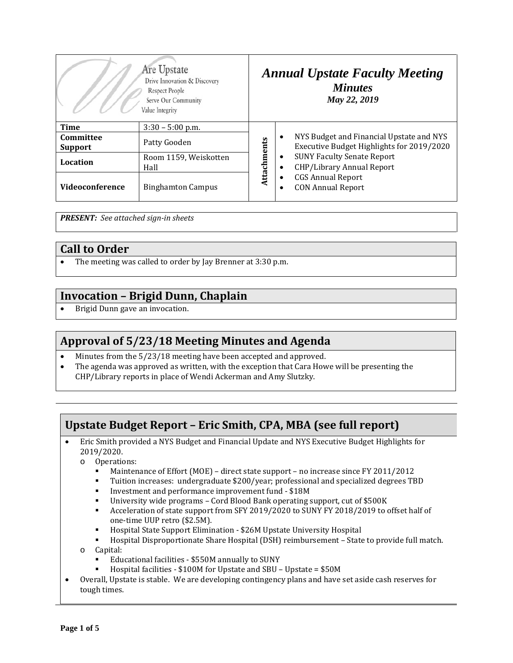| Are Upstate<br>Drive Innovation & Discovery<br>Respect People<br>Serve Our Community<br>Value Integrity |                               | <b>Annual Upstate Faculty Meeting</b><br><b>Minutes</b><br>May 22, 2019 |                                                                                                                                                                                                                                                |
|---------------------------------------------------------------------------------------------------------|-------------------------------|-------------------------------------------------------------------------|------------------------------------------------------------------------------------------------------------------------------------------------------------------------------------------------------------------------------------------------|
| Time                                                                                                    | $3:30 - 5:00$ p.m.            | Attachments                                                             | NYS Budget and Financial Upstate and NYS<br>$\bullet$<br>Executive Budget Highlights for 2019/2020<br><b>SUNY Faculty Senate Report</b><br>٠<br>CHP/Library Annual Report<br><b>CGS Annual Report</b><br><b>CON Annual Report</b><br>$\bullet$ |
| Committee<br><b>Support</b>                                                                             | Patty Gooden                  |                                                                         |                                                                                                                                                                                                                                                |
| Location                                                                                                | Room 1159, Weiskotten<br>Hall |                                                                         |                                                                                                                                                                                                                                                |
| Videoconference                                                                                         | <b>Binghamton Campus</b>      |                                                                         |                                                                                                                                                                                                                                                |

*PRESENT: See attached sign-in sheets*

#### **Call to Order**

• The meeting was called to order by Jay Brenner at 3:30 p.m.

### **Invocation – Brigid Dunn, Chaplain**

• Brigid Dunn gave an invocation.

### **Approval of 5/23/18 Meeting Minutes and Agenda**

- Minutes from the  $5/23/18$  meeting have been accepted and approved.<br>• The agenda was approved as written with the exception that Cara How
- The agenda was approved as written, with the exception that Cara Howe will be presenting the CHP/Library reports in place of Wendi Ackerman and Amy Slutzky.

# **Upstate Budget Report – Eric Smith, CPA, MBA (see full report)**

- Eric Smith provided a NYS Budget and Financial Update and NYS Executive Budget Highlights for 2019/2020.
	- o Operations:
		- Maintenance of Effort (MOE) direct state support no increase since FY 2011/2012<br>Fujition increases: undergraduate \$200/year; professional and specialized degrees TF
		- Tuition increases: undergraduate \$200/year; professional and specialized degrees TBD<br>■ Investment and performance improvement fund \$18M
		- Investment and performance improvement fund \$18M
		- University wide programs Cord Blood Bank operating support, cut of \$500K<br>Acceleration of state support from SEV 2019/2020 to SUNY EV 2018/2019 to q
		- Acceleration of state support from SFY 2019/2020 to SUNY FY 2018/2019 to offset half of one-time UUP retro (\$2.5M).
		- Hospital State Support Elimination \$26M Upstate University Hospital
	- Hospital Disproportionate Share Hospital (DSH) reimbursement State to provide full match. o Capital:
		- Educational facilities \$550M annually to SUNY
		- Hospital facilities \$100M for Upstate and SBU Upstate = \$50M
- Overall, Upstate is stable. We are developing contingency plans and have set aside cash reserves for tough times.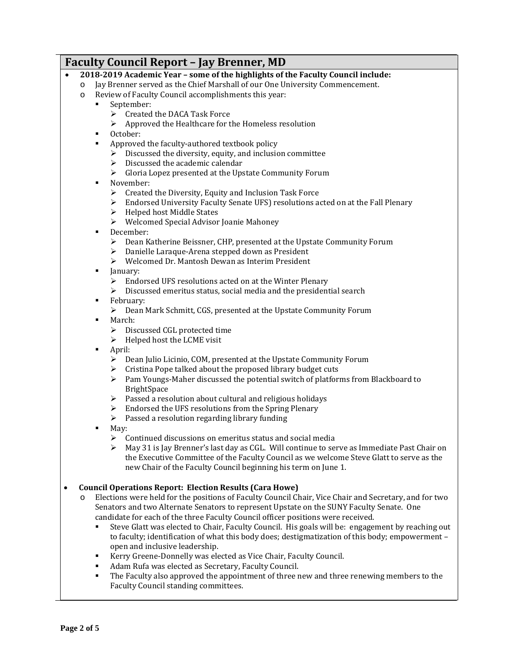#### **Faculty Council Report – Jay Brenner, MD** • **2018-2019 Academic Year – some of the highlights of the Faculty Council include:** o Jay Brenner served as the Chief Marshall of our One University Commencement. Review of Faculty Council accomplishments this year: September:  $\triangleright$  Created the DACA Task Force Approved the Healthcare for the Homeless resolution October: Approved the faculty-authored textbook policy  $\triangleright$  Discussed the diversity, equity, and inclusion committee  $\triangleright$  Discussed the academic calendar<br> $\triangleright$  Gloria Lopez presented at the Ups Gloria Lopez presented at the Upstate Community Forum November:  $\triangleright$  Created the Diversity, Equity and Inclusion Task Force Endorsed University Faculty Senate UFS) resolutions acted on at the Fall Plenary  $\blacktriangleright$  Helped host Middle States Welcomed Special Advisor Joanie Mahoney December: Dean Katherine Beissner, CHP, presented at the Upstate Community Forum Danielle Laraque-Arena stepped down as President Welcomed Dr. Mantosh Dewan as Interim President **January:**  $\triangleright$  Endorsed UFS resolutions acted on at the Winter Plenary  $\triangleright$  Discussed emeritus status, social media and the presidential search **February:**  Dean Mark Schmitt, CGS, presented at the Upstate Community Forum March: Discussed CGL protected time  $\triangleright$  Helped host the LCME visit April: Dean Julio Licinio, COM, presented at the Upstate Community Forum  $\triangleright$  Cristina Pope talked about the proposed library budget cuts  $\triangleright$  Pam Youngs-Maher discussed the potential switch of platforms from Blackboard to BrightSpace  $\triangleright$  Passed a resolution about cultural and religious holidays  $\triangleright$  Endorsed the UFS resolutions from the Spring Plenary  $\triangleright$  Passed a resolution regarding library funding May:  $\triangleright$  Continued discussions on emeritus status and social media  $\triangleright$  May 31 is Jay Brenner's last day as CGL. Will continue to serve as Immediate Past Chair on the Executive Committee of the Faculty Council as we welcome Steve Glatt to serve as the new Chair of the Faculty Council beginning his term on June 1. • **Council Operations Report: Election Results (Cara Howe)** o Elections were held for the positions of Faculty Council Chair, Vice Chair and Secretary, and for two

- Senators and two Alternate Senators to represent Upstate on the SUNY Faculty Senate. One candidate for each of the three Faculty Council officer positions were received.
	- Steve Glatt was elected to Chair, Faculty Council. His goals will be: engagement by reaching out to faculty; identification of what this body does; destigmatization of this body; empowerment – open and inclusive leadership.
	- Kerry Greene-Donnelly was elected as Vice Chair, Faculty Council.
	- Adam Rufa was elected as Secretary, Faculty Council.
	- The Faculty also approved the appointment of three new and three renewing members to the Faculty Council standing committees.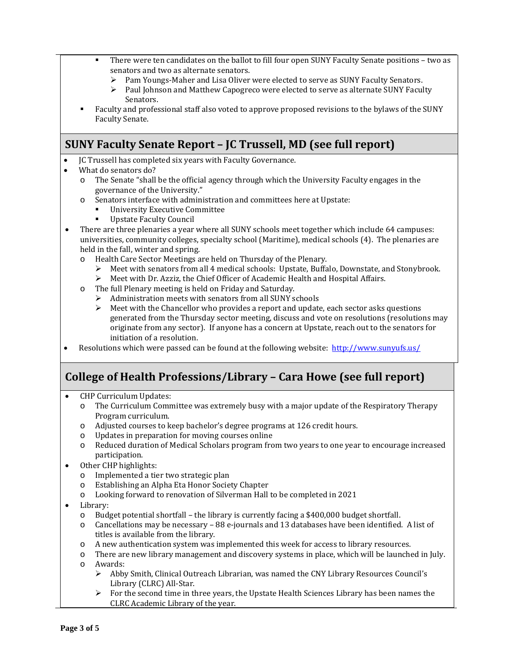- There were ten candidates on the ballot to fill four open SUNY Faculty Senate positions two as senators and two as alternate senators.
	- Pam Youngs-Maher and Lisa Oliver were elected to serve as SUNY Faculty Senators.<br>
	Paul Johnson and Matthew Canogreco were elected to serve as alternate SUNY Facul
	- Paul Johnson and Matthew Capogreco were elected to serve as alternate SUNY Faculty Senators.
- Faculty and professional staff also voted to approve proposed revisions to the bylaws of the SUNY Faculty Senate.

## **SUNY Faculty Senate Report – JC Trussell, MD (see full report)**

- JC Trussell has completed six years with Faculty Governance.
- What do senators do?<br>
o The Senate "shall
	- The Senate "shall be the official agency through which the University Faculty engages in the governance of the University."
	- o Senators interface with administration and committees here at Upstate:
		- **University Executive Committee**<br> **University Executive** Council
		- Upstate Faculty Council
- There are three plenaries a year where all SUNY schools meet together which include 64 campuses: universities, community colleges, specialty school (Maritime), medical schools (4). The plenaries are held in the fall, winter and spring.
	- o Health Care Sector Meetings are held on Thursday of the Plenary.
		- $\triangleright$  Meet with senators from all 4 medical schools: Upstate, Buffalo, Downstate, and Stonybrook.<br>  $\triangleright$  Meet with Dr. Azziz, the Chief Officer of Academic Health and Hospital Affairs
		- Meet with Dr. Azziz, the Chief Officer of Academic Health and Hospital Affairs.
	- o The full Plenary meeting is held on Friday and Saturday.
		- $\triangleright$  Administration meets with senators from all SUNY schools
		- $\triangleright$  Meet with the Chancellor who provides a report and update, each sector asks questions generated from the Thursday sector meeting, discuss and vote on resolutions (resolutions may originate from any sector). If anyone has a concern at Upstate, reach out to the senators for initiation of a resolution.
- Resolutions which were passed can be found at the following website:<http://www.sunyufs.us/>

# **College of Health Professions/Library – Cara Howe (see full report)**

- CHP Curriculum Updates:
	- o The Curriculum Committee was extremely busy with a major update of the Respiratory Therapy Program curriculum.
	- o Adjusted courses to keep bachelor's degree programs at 126 credit hours.
	-
	- o Updates in preparation for moving courses online Reduced duration of Medical Scholars program from two years to one year to encourage increased participation.
- Other CHP highlights:<br>
o Implemented a tie
	- o Implemented a tier two strategic plan<br>
	o Establishing an Alpha Eta Honor Socie
	- Establishing an Alpha Eta Honor Society Chapter
	- o Looking forward to renovation of Silverman Hall to be completed in 2021
- Library:<br>o Bud
	- o Budget potential shortfall the library is currently facing a \$400,000 budget shortfall.<br>  $\circ$  Cancellations may be necessary 88 e-journals and 13 databases have been identified.
	- Cancellations may be necessary 88 e-journals and 13 databases have been identified. A list of titles is available from the library.
	- o A new authentication system was implemented this week for access to library resources.
	- o There are new library management and discovery systems in place, which will be launched in July.
	- o Awards:
		- Abby Smith, Clinical Outreach Librarian, was named the CNY Library Resources Council's Library (CLRC) All-Star.
		- $\triangleright$  For the second time in three years, the Upstate Health Sciences Library has been names the CLRC Academic Library of the year.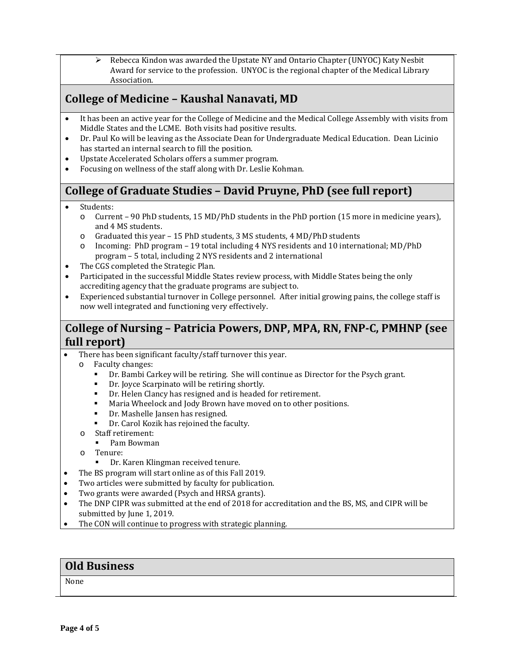$\triangleright$  Rebecca Kindon was awarded the Upstate NY and Ontario Chapter (UNYOC) Katy Nesbit Award for service to the profession. UNYOC is the regional chapter of the Medical Library Association.

## **College of Medicine – Kaushal Nanavati, MD**

- It has been an active year for the College of Medicine and the Medical College Assembly with visits from Middle States and the LCME. Both visits had positive results.
- Dr. Paul Ko will be leaving as the Associate Dean for Undergraduate Medical Education. Dean Licinio has started an internal search to fill the position.
- Upstate Accelerated Scholars offers a summer program.
- Focusing on wellness of the staff along with Dr. Leslie Kohman.

# **College of Graduate Studies – David Pruyne, PhD (see full report)**

- Students:
	- o Current 90 PhD students, 15 MD/PhD students in the PhD portion (15 more in medicine years), and 4 MS students.
	- o Graduated this year 15 PhD students, 3 MS students, 4 MD/PhD students
	- o Incoming: PhD program 19 total including 4 NYS residents and 10 international; MD/PhD program – 5 total, including 2 NYS residents and 2 international
- The CGS completed the Strategic Plan.
- Participated in the successful Middle States review process, with Middle States being the only accrediting agency that the graduate programs are subject to.
- Experienced substantial turnover in College personnel. After initial growing pains, the college staff is now well integrated and functioning very effectively.

### **College of Nursing – Patricia Powers, DNP, MPA, RN, FNP-C, PMHNP (see full report)**

- There has been significant faculty/staff turnover this year.<br>  $\circ$  Faculty changes:
	- Faculty changes:
		- Dr. Bambi Carkey will be retiring. She will continue as Director for the Psych grant.<br>■ Dr. Jovce Scarninato will be retiring shortly
		- Dr. Joyce Scarpinato will be retiring shortly.
		- **Dr. Helen Clancy has resigned and is headed for retirement.**<br>• Maria Wheelock and Jody Brown have moved on to other no
		- Maria Wheelock and Jody Brown have moved on to other positions.
		- Dr. Mashelle Jansen has resigned.
		- Dr. Carol Kozik has rejoined the faculty.
	- o Staff retirement:
		- Pam Bowman
	- o Tenure:
		- Dr. Karen Klingman received tenure.
- The BS program will start online as of this Fall 2019.
- Two articles were submitted by faculty for publication.
- Two grants were awarded (Psych and HRSA grants).
- The DNP CIPR was submitted at the end of 2018 for accreditation and the BS, MS, and CIPR will be submitted by June 1, 2019.
- The CON will continue to progress with strategic planning.

#### **Old Business**

None